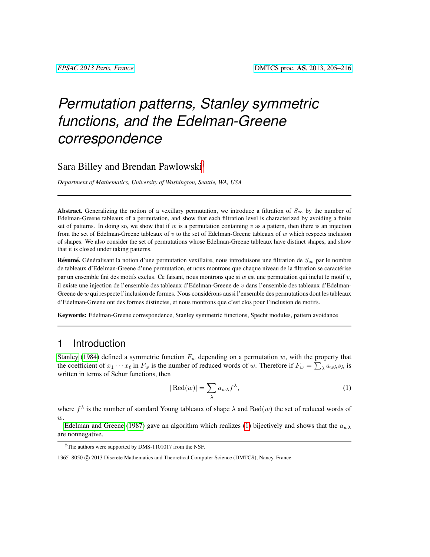# *Permutation patterns, Stanley symmetric functions, and the Edelman-Greene correspondence*

## Sara Billey and Brendan Pawlowski†

*Department of Mathematics, University of Washington, Seattle, WA, USA*

Abstract. Generalizing the notion of a vexillary permutation, we introduce a filtration of  $S_{\infty}$  by the number of Edelman-Greene tableaux of a permutation, and show that each filtration level is characterized by avoiding a finite set of patterns. In doing so, we show that if w is a permutation containing v as a pattern, then there is an injection from the set of Edelman-Greene tableaux of  $v$  to the set of Edelman-Greene tableaux of  $w$  which respects inclusion of shapes. We also consider the set of permutations whose Edelman-Greene tableaux have distinct shapes, and show that it is closed under taking patterns.

**Résumé.** Généralisant la notion d'une permutation vexillaire, nous introduisons une filtration de  $S_{\infty}$  par le nombre de tableaux d'Edelman-Greene d'une permutation, et nous montrons que chaque niveau de la filtration se caractérise par un ensemble fini des motifs exclus. Ce faisant, nous montrons que si  $w$  est une permutation qui inclut le motif  $v$ , il existe une injection de l'ensemble des tableaux d'Edelman-Greene de  $v$  dans l'ensemble des tableaux d'Edelman-Greene de  $w$  qui respecte l'inclusion de formes. Nous considérons aussi l'ensemble des permutations dont les tableaux d'Edelman-Greene ont des formes distinctes, et nous montrons que c'est clos pour l'inclusion de motifs.

Keywords: Edelman-Greene correspondence, Stanley symmetric functions, Specht modules, pattern avoidance

## 1 Introduction

[Stanley](#page-11-0) [\(1984\)](#page-11-0) defined a symmetric function  $F_w$  depending on a permutation w, with the property that the coefficient of  $x_1 \cdots x_\ell$  in  $F_w$  is the number of reduced words of w. Therefore if  $F_w = \sum_{\lambda} a_{w\lambda} s_\lambda$  is written in terms of Schur functions, then

<span id="page-0-0"></span>
$$
|\operatorname{Red}(w)| = \sum_{\lambda} a_{w\lambda} f^{\lambda},\tag{1}
$$

where  $f^{\lambda}$  is the number of standard Young tableaux of shape  $\lambda$  and  $\text{Red}(w)$  the set of reduced words of  $w.$ 

[Edelman and Greene](#page-11-1) [\(1987\)](#page-11-1) gave an algorithm which realizes [\(1\)](#page-0-0) bijectively and shows that the  $a_{w\lambda}$ are nonnegative.

<sup>†</sup>The authors were supported by DMS-1101017 from the NSF.

<sup>1365–8050 © 2013</sup> Discrete Mathematics and Theoretical Computer Science (DMTCS), Nancy, France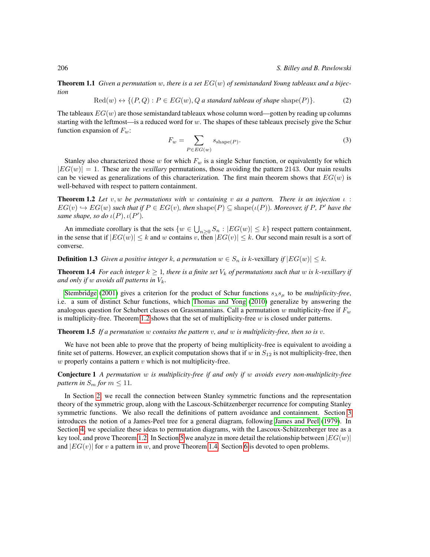**Theorem 1.1** *Given a permutation w, there is a set*  $EG(w)$  *of semistandard Young tableaux and a bijection*

$$
Red(w) \leftrightarrow \{(P,Q) : P \in EG(w), Q \text{ a standard tableau of shape shape}(P)\}.
$$
 (2)

The tableaux  $EG(w)$  are those semistandard tableaux whose column word—gotten by reading up columns starting with the leftmost—is a reduced word for  $w$ . The shapes of these tableaux precisely give the Schur function expansion of  $F_w$ :

$$
F_w = \sum_{P \in EG(w)} s_{\text{shape}(P)}.
$$
\n(3)

Stanley also characterized those w for which  $F_w$  is a single Schur function, or equivalently for which  $|EG(w)| = 1$ . These are the *vexillary* permutations, those avoiding the pattern 2143. Our main results can be viewed as generalizations of this characterization. The first main theorem shows that  $EG(w)$  is well-behaved with respect to pattern containment.

<span id="page-1-0"></span>Theorem 1.2 *Let* v, w *be permutations with* w *containing* v *as a pattern. There is an injection* ι :  $EG(v) \hookrightarrow EG(w)$  *such that if*  $P \in EG(v)$ *, then*  $shape(P) \subseteq shape(\iota(P))$ *. Moreover, if* P*, P' have the same shape, so do*  $\iota(P), \iota(P').$ 

An immediate corollary is that the sets  $\{w \in \bigcup_{n\geq 0} S_n : |EG(w)| \leq k\}$  respect pattern containment, in the sense that if  $|EG(w)| \leq k$  and w contains v, then  $|EG(v)| \leq k$ . Our second main result is a sort of converse.

**Definition 1.3** *Given a positive integer k, a permutation*  $w \in S_n$  *is k*-vexillary *if*  $|EG(w)| \leq k$ *.* 

<span id="page-1-1"></span>**Theorem 1.4** *For each integer*  $k \geq 1$ *, there is a finite set*  $V_k$  *of permutations such that* w *is*  $k$ -vexillary *if and only if* w *avoids all patterns in*  $V_k$ .

[Stembridge](#page-11-2) [\(2001\)](#page-11-2) gives a criterion for the product of Schur functions  $s_{\lambda} s_{\mu}$  to be *multiplicity-free*, i.e. a sum of distinct Schur functions, which [Thomas and Yong](#page-11-3) [\(2010\)](#page-11-3) generalize by answering the analogous question for Schubert classes on Grassmannians. Call a permutation w multiplicity-free if  $F_w$ is multiplicity-free. Theorem [1.2](#page-1-0) shows that the set of multiplicity-free  $w$  is closed under patterns.

Theorem 1.5 *If a permutation* w *contains the pattern* v*, and* w *is multiplicity-free, then so is* v*.*

We have not been able to prove that the property of being multiplicity-free is equivalent to avoiding a finite set of patterns. However, an explicit computation shows that if w in  $S_{12}$  is not multiplicity-free, then  $w$  properly contains a pattern  $v$  which is not multiplicity-free.

Conjecture 1 *A permutation* w *is multiplicity-free if and only if* w *avoids every non-multiplicity-free pattern in*  $S_m$  *for*  $m \leq 11$ *.* 

In Section [2,](#page-2-0) we recall the connection between Stanley symmetric functions and the representation theory of the symmetric group, along with the Lascoux-Schützenberger recurrence for computing Stanley symmetric functions. We also recall the definitions of pattern avoidance and containment. Section [3](#page-4-0) introduces the notion of a James-Peel tree for a general diagram, following [James and Peel](#page-11-4) [\(1979\)](#page-11-4). In Section [4,](#page-7-0) we specialize these ideas to permutation diagrams, with the Lascoux-Schützenberger tree as a key tool, and prove Theorem [1.2.](#page-1-0) In Section [5](#page-7-1) we analyze in more detail the relationship between  $|EG(w)|$ and  $|EG(v)|$  for v a pattern in w, and prove Theorem [1.4.](#page-1-1) Section [6](#page-10-0) is devoted to open problems.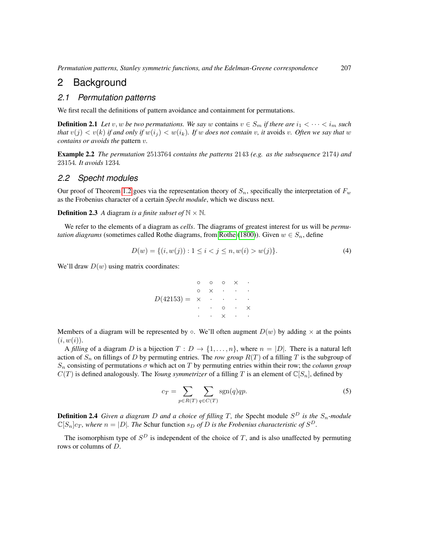# <span id="page-2-0"></span>2 Background

#### *2.1 Permutation patterns*

We first recall the definitions of pattern avoidance and containment for permutations.

**Definition 2.1** Let v, w be two permutations. We say w contains  $v \in S_m$  if there are  $i_1 < \cdots < i_m$  such *that*  $v(j) < v(k)$  *if and only if*  $w(i_j) < w(i_k)$ *. If w does not contain* v, *it* avoids v. Often we say that w *contains or avoids the* pattern v*.*

Example 2.2 *The permutation* 2513764 *contains the patterns* 2143 *(e.g. as the subsequence* 2174*) and* 23154*. It avoids* 1234*.*

#### *2.2 Specht modules*

Our proof of Theorem [1.2](#page-1-0) goes via the representation theory of  $S_n$ , specifically the interpretation of  $F_w$ as the Frobenius character of a certain *Specht module*, which we discuss next.

**Definition 2.3** *A* diagram *is a finite subset of*  $N \times N$ *.* 

We refer to the elements of a diagram as *cells*. The diagrams of greatest interest for us will be *permutation diagrams* (sometimes called [Rothe](#page-11-5) diagrams, from Rothe [\(1800\)](#page-11-5)). Given  $w \in S_n$ , define

$$
D(w) = \{(i, w(j)) : 1 \le i < j \le n, w(i) > w(j)\}.
$$
\n<sup>(4)</sup>

We'll draw  $D(w)$  using matrix coordinates:

|                                                   | $\circ$   | $\circ$    |          | $\circ$ $\times$ $\cdot$ |                  |
|---------------------------------------------------|-----------|------------|----------|--------------------------|------------------|
|                                                   | $\circ$   |            | $\times$ |                          | $\sim$ 100 $\pm$ |
| $D(42153) = \times \cdot \cdot \cdot \cdot \cdot$ |           |            |          |                          |                  |
|                                                   | $\bullet$ |            |          | $\circ$ $\cdot$          |                  |
|                                                   |           | $\sim$ $-$ | $\times$ | $\bullet$                |                  |

Members of a diagram will be represented by  $\circ$ . We'll often augment  $D(w)$  by adding  $\times$  at the points  $(i, w(i)).$ 

A *filling* of a diagram D is a bijection  $T: D \to \{1, \ldots, n\}$ , where  $n = |D|$ . There is a natural left action of  $S_n$  on fillings of D by permuting entries. The *row group*  $R(T)$  of a filling T is the subgroup of  $S_n$  consisting of permutations  $\sigma$  which act on T by permuting entries within their row; the *column group*  $C(T)$  is defined analogously. The *Young symmetrizer* of a filling T is an element of  $\mathbb{C}[S_n]$ , defined by

$$
c_T = \sum_{p \in R(T)} \sum_{q \in C(T)} \text{sgn}(q)qp.
$$
 (5)

**Definition 2.4** Given a diagram D and a choice of filling T, the Specht module  $S^D$  is the  $S_n$ -module  $\mathbb{C}[S_n]c_T$ , where  $n = |D|$ . The Schur function  $s_D$  of D is the Frobenius characteristic of  $S^D$ .

The isomorphism type of  $S^D$  is independent of the choice of T, and is also unaffected by permuting rows or columns of D.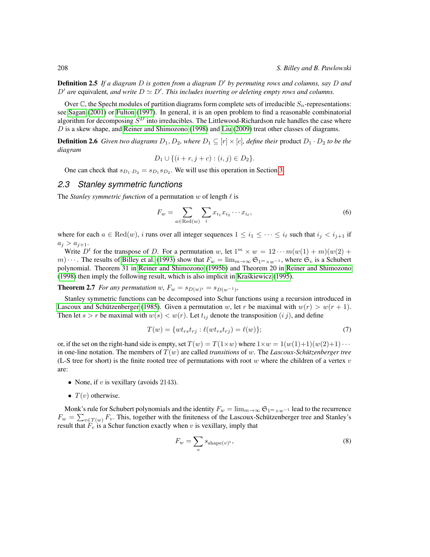**Definition 2.5** If a diagram D is gotten from a diagram D' by permuting rows and columns, say D and  $D'$  are equivalent, and write  $D \simeq D'$ . This includes inserting or deleting empty rows and columns.

Over  $\mathbb C$ , the Specht modules of partition diagrams form complete sets of irreducible  $S_n$ -representations: see [Sagan](#page-11-6) [\(2001\)](#page-11-6) or [Fulton](#page-11-7) [\(1997\)](#page-11-7). In general, it is an open problem to find a reasonable combinatorial algorithm for decomposing  $S^D$  into irreducibles. The Littlewood-Richardson rule handles the case where  $D$  is a skew shape, and [Reiner and Shimozono](#page-11-8) [\(1998\)](#page-11-8) and [Liu](#page-11-9) [\(2009\)](#page-11-9) treat other classes of diagrams.

**Definition 2.6** *Given two diagrams*  $D_1, D_2$ *, where*  $D_1 \subseteq [r] \times [c]$ *, define their* product  $D_1 \cdot D_2$  *to be the diagram*

$$
D_1 \cup \{(i + r, j + c) : (i, j) \in D_2\}.
$$

One can check that  $s_{D_1 \cdot D_2} = s_{D_1} s_{D_2}$ . We will use this operation in Section [3.](#page-4-0)

#### <span id="page-3-0"></span>*2.3 Stanley symmetric functions*

The *Stanley symmetric function* of a permutation  $w$  of length  $\ell$  is

$$
F_w = \sum_{a \in \text{Red}(w)} \sum_i x_{i_1} x_{i_2} \cdots x_{i_\ell},\tag{6}
$$

where for each  $a \in \text{Red}(w)$ , i runs over all integer sequences  $1 \leq i_1 \leq \cdots \leq i_\ell$  such that  $i_j < i_{j+1}$  if  $a_j > a_{j+1}.$ 

Write  $D^t$  for the transpose of D. For a permutation w, let  $1^m \times w = 12 \cdots m(w(1) + m)(w(2) + w(1))$ m)  $\cdots$ . The results of [Billey et al.](#page-11-10) [\(1993\)](#page-11-10) show that  $F_w = \lim_{m\to\infty} \mathfrak{S}_{1^m \times w^{-1}}$ , where  $\mathfrak{S}_v$  is a Schubert polynomial. Theorem 31 in [Reiner and Shimozono](#page-11-11) [\(1995b\)](#page-11-11) and Theorem 20 in [Reiner and Shimozono](#page-11-8) [\(1998\)](#page-11-8) then imply the following result, which is also implicit in [Kraskiewicz](#page-11-12) [\(1995\)](#page-11-12). ´

**Theorem 2.7** *For any permutation*  $w$ ,  $F_w = s_{D(w)^t} = s_{D(w^{-1})}$ ,

Stanley symmetric functions can be decomposed into Schur functions using a recursion introduced in Lascoux and Schützenberger [\(1985\)](#page-11-13). Given a permutation w, let r be maximal with  $w(r) > w(r + 1)$ . Then let  $s > r$  be maximal with  $w(s) < w(r)$ . Let  $t_{ij}$  denote the transposition  $(i j)$ , and define

$$
T(w) = \{wt_{rs}t_{rj} : \ell(wt_{rs}t_{rj}) = \ell(w)\};\tag{7}
$$

or, if the set on the right-hand side is empty, set  $T(w) = T(1 \times w)$  where  $1 \times w = 1(w(1)+1)(w(2)+1) \cdots$ in one-line notation. The members of  $T(w)$  are called *transitions* of w. The *Lascoux-Schützenberger tree* (L-S tree for short) is the finite rooted tree of permutations with root w where the children of a vertex  $v$ are:

- None, if  $v$  is vexillary (avoids 2143).
- $T(v)$  otherwise.

Monk's rule for Schubert polynomials and the identity  $F_w = \lim_{m \to \infty} \mathfrak{S}_{1^m \times w^{-1}}$  lead to the recurrence  $F_w = \sum_{v \in T(w)} F_v$ . This, together with the finiteness of the Lascoux-Schützenberger tree and Stanley's result that  $\overline{F_v}$  is a Schur function exactly when v is vexillary, imply that

$$
F_w = \sum_v s_{\text{shape}(v)^t},\tag{8}
$$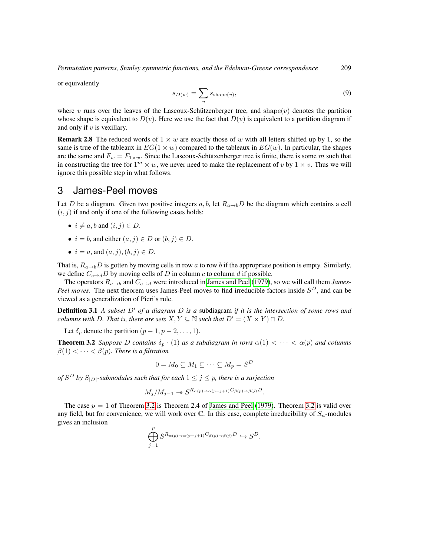or equivalently

$$
s_{D(w)} = \sum_{v} s_{\text{shape}(v)},\tag{9}
$$

where v runs over the leaves of the Lascoux-Schützenberger tree, and shape(v) denotes the partition whose shape is equivalent to  $D(v)$ . Here we use the fact that  $D(v)$  is equivalent to a partition diagram if and only if  $v$  is vexillary.

**Remark 2.8** The reduced words of  $1 \times w$  are exactly those of w with all letters shifted up by 1, so the same is true of the tableaux in  $EG(1 \times w)$  compared to the tableaux in  $EG(w)$ . In particular, the shapes are the same and  $F_w = F_{1 \times w}$ . Since the Lascoux-Schützenberger tree is finite, there is some m such that in constructing the tree for  $1^m \times w$ , we never need to make the replacement of v by  $1 \times v$ . Thus we will ignore this possible step in what follows.

#### <span id="page-4-0"></span>3 James-Peel moves

Let D be a diagram. Given two positive integers a, b, let  $R_{a\rightarrow b}D$  be the diagram which contains a cell  $(i, j)$  if and only if one of the following cases holds:

- $i \neq a$ , b and  $(i, j) \in D$ .
- $i = b$ , and either  $(a, j) \in D$  or  $(b, j) \in D$ .
- $i = a$ , and  $(a, j)$ ,  $(b, j) \in D$ .

That is,  $R_{a\rightarrow b}D$  is gotten by moving cells in row a to row b if the appropriate position is empty. Similarly, we define  $C_{c\rightarrow d}D$  by moving cells of D in column c to column d if possible.

The operators  $R_{a\to b}$  and  $C_{c\to d}$  were introduced in [James and Peel](#page-11-4) [\(1979\)](#page-11-4), so we will call them *James*-Peel moves. The next theorem uses James-Peel moves to find irreducible factors inside  $S<sup>D</sup>$ , and can be viewed as a generalization of Pieri's rule.

**Definition 3.1** *A subset*  $D'$  *of a diagram*  $D$  *is a* subdiagram *if it is the intersection of some rows and columns with* D. That is, there are sets  $X, Y \subseteq \mathbb{N}$  such that  $D' = (X \times Y) \cap D$ .

Let  $\delta_p$  denote the partition  $(p-1, p-2, \ldots, 1)$ .

<span id="page-4-1"></span>**Theorem 3.2** *Suppose* D *contains*  $\delta_p \cdot (1)$  *as a subdiagram in rows*  $\alpha(1) < \cdots < \alpha(p)$  *and columns*  $\beta(1) < \cdots < \beta(p)$ . There is a filtration

$$
0 = M_0 \subseteq M_1 \subseteq \cdots \subseteq M_p = S^D
$$

*of*  $S^D$  by  $S_{|D|}$ -submodules such that for each  $1 \leq j \leq p$ , there is a surjection

$$
M_j/M_{j-1} \twoheadrightarrow S^{R_{\alpha(p)\to\alpha(p-j+1)}C_{\beta(p)\to\beta(j)}D}.
$$

<span id="page-4-2"></span>The case  $p = 1$  of Theorem [3.2](#page-4-1) is Theorem 2.4 of [James and Peel](#page-11-4) [\(1979\)](#page-11-4). Theorem 3.2 is valid over any field, but for convenience, we will work over  $\mathbb C$ . In this case, complete irreducibility of  $S_n$ -modules gives an inclusion

$$
\bigoplus_{j=1}^p S^{R_{\alpha(p)\to\alpha(p-j+1)}C_{\beta(p)\to\beta(j)}D}\hookrightarrow S^D.
$$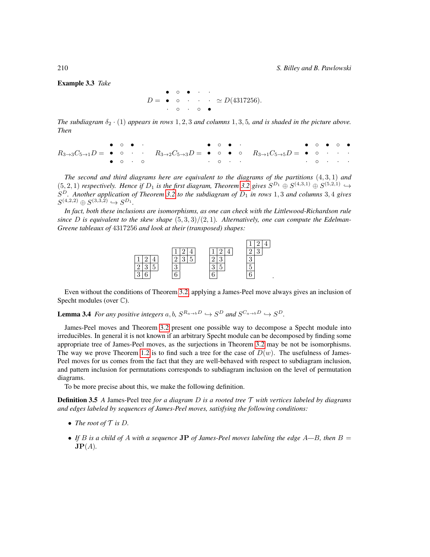Example 3.3 *Take*

$$
D = \begin{array}{cccccc} \bullet & \circ & \bullet & \cdot & \cdot \\ \bullet & \circ & \cdot & \cdot & \cdot \\ \cdot & \circ & \cdot & \circ & \bullet \end{array} \simeq D(4317256).
$$

*The subdiagram*  $\delta_2 \cdot (1)$  *appears in rows* 1, 2, 3 *and columns* 1, 3, 5*, and is shaded in the picture above. Then*

|                       |  |  | $\bullet$ $\circ$ $\bullet$ $\cdot$ $\bullet$ $\circ$ $\bullet$ $\cdot$ $\bullet$ $\circ$ $\bullet$ $\cdot$ $\cdot$ |  |  | $\bullet$ 0 $\bullet$ 0 $\bullet$                                                                                                                                                                                           |  |  |  |
|-----------------------|--|--|---------------------------------------------------------------------------------------------------------------------|--|--|-----------------------------------------------------------------------------------------------------------------------------------------------------------------------------------------------------------------------------|--|--|--|
|                       |  |  |                                                                                                                     |  |  | $R_{3\rightarrow 3}C_{5\rightarrow 1}D = \bullet \circ \cdot \cdot \cdot R_{3\rightarrow 2}C_{5\rightarrow 3}D = \bullet \circ \bullet \circ \cdot R_{3\rightarrow 1}C_{5\rightarrow 5}D = \bullet \circ \cdot \cdot \cdot$ |  |  |  |
| $\bullet$ 0 $\cdot$ 0 |  |  |                                                                                                                     |  |  |                                                                                                                                                                                                                             |  |  |  |

*The second and third diagrams here are equivalent to the diagrams of the partitions* (4, 3, 1) *and*  $(5, 2, 1)$  *respectively. Hence if*  $D_1$  *is the first diagram, Theorem* [3.2](#page-4-1) *gives*  $S^{D_1} \oplus S^{(4,3,1)} \oplus S^{(5,2,1)} \hookrightarrow$  $S<sup>D</sup>$ . Another application of Theorem [3.2](#page-4-1) to the subdiagram of  $D_1$  in rows 1, 3 and columns 3, 4 gives  $S^{(4,2,2)} \oplus S^{(3,3,2)} \hookrightarrow S^{D_1}.$ 

*In fact, both these inclusions are isomorphisms, as one can check with the Littlewood-Richardson rule* since D is equivalent to the skew shape  $(5,3,3)/(2,1)$ . Alternatively, one can compute the Edelman-*Greene tableaux of* 4317256 *and look at their (transposed) shapes:*



Even without the conditions of Theorem [3.2,](#page-4-1) applying a James-Peel move always gives an inclusion of Specht modules (over  $\mathbb{C}$ ).

<span id="page-5-0"></span>**Lemma 3.4** For any positive integers  $a, b, S^{R_{a\rightarrow b}D} \hookrightarrow S^{D}$  and  $S^{C_{a\rightarrow b}D} \hookrightarrow S^{D}$ .

James-Peel moves and Theorem [3.2](#page-4-1) present one possible way to decompose a Specht module into irreducibles. In general it is not known if an arbitrary Specht module can be decomposed by finding some appropriate tree of James-Peel moves, as the surjections in Theorem [3.2](#page-4-1) may be not be isomorphisms. The way we prove Theorem [1.2](#page-1-0) is to find such a tree for the case of  $D(w)$ . The usefulness of James-Peel moves for us comes from the fact that they are well-behaved with respect to subdiagram inclusion, and pattern inclusion for permutations corresponds to subdiagram inclusion on the level of permutation diagrams.

To be more precise about this, we make the following definition.

Definition 3.5 *A* James-Peel tree *for a diagram* D *is a rooted tree* T *with vertices labeled by diagrams and edges labeled by sequences of James-Peel moves, satisfying the following conditions:*

- *The root of*  $\mathcal T$  *is*  $D$ *.*
- If B is a child of A with a sequence **JP** of James-Peel moves labeling the edge  $A$ —B, then  $B =$  $\mathbf{JP}(A)$ .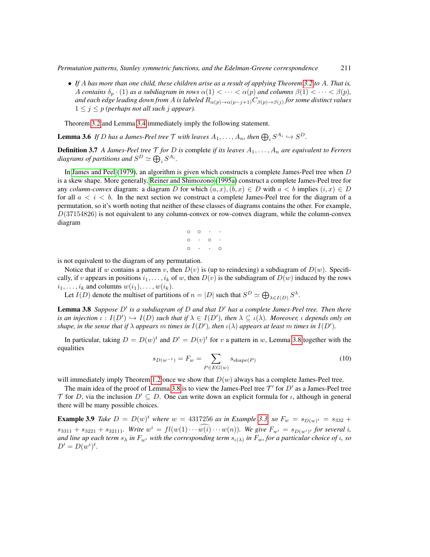• *If* A *has more than one child, these children arise as a result of applying Theorem [3.2](#page-4-1) to* A*. That is,* A contains  $\delta_p \cdot (1)$  as a subdiagram in rows  $\alpha(1) < \cdots < \alpha(p)$  and columns  $\beta(1) < \cdots < \beta(p)$ , *and each edge leading down from* A *is labeled* Rα(p)→α(p−j+1)Cβ(p)→β(j) *for some distinct values*  $1 \leq j \leq p$  *(perhaps not all such j appear).* 

Theorem [3.2](#page-4-1) and Lemma [3.4](#page-5-0) immediately imply the following statement.

**Lemma 3.6** If D has a James-Peel tree T with leaves  $A_1, \ldots, A_n$ , then  $\bigoplus_i S^{A_i} \hookrightarrow S^D$ .

**Definition 3.7** *A James-Peel tree*  $\mathcal T$  *for*  $D$  *is* complete *if its leaves*  $A_1, \ldots, A_n$  *are equivalent to Ferrers* diagrams of partitions and  $S^D \simeq \bigoplus_i S^{A_i}.$ 

In [James and Peel](#page-11-4) [\(1979\)](#page-11-4), an algorithm is given which constructs a complete James-Peel tree when D is a skew shape. More generally, [Reiner and Shimozono](#page-11-14) [\(1995a\)](#page-11-14) construct a complete James-Peel tree for any *column-convex* diagram: a diagram D for which  $(a, x), (b, x) \in D$  with  $a < b$  implies  $(i, x) \in D$ for all  $a < i < b$ . In the next section we construct a complete James-Peel tree for the diagram of a permutation, so it's worth noting that neither of these classes of diagrams contains the other. For example,  $D(37154826)$  is not equivalent to any column-convex or row-convex diagram, while the column-convex diagram

$$
\begin{array}{cccc}\n0 & 0 & \cdot & \cdot & \cdot \\
0 & \cdot & 0 & \cdot & \cdot \\
0 & \cdot & \cdot & 0 & \cdot\n\end{array}
$$

is not equivalent to the diagram of any permutation.

Notice that if w contains a pattern v, then  $D(v)$  is (up to reindexing) a subdiagram of  $D(w)$ . Specifically, if v appears in positions  $i_1, \ldots, i_k$  of w, then  $D(v)$  is the subdiagram of  $D(w)$  induced by the rows  $i_1, \ldots, i_k$  and columns  $w(i_1), \ldots, w(i_k)$ .

Let  $I(D)$  denote the multiset of partitions of  $n = |D|$  such that  $S^D \simeq \bigoplus_{\lambda \in I(D)} S^{\lambda}$ .

<span id="page-6-0"></span>**Lemma 3.8** Suppose D' is a subdiagram of D and that D' has a complete James-Peel tree. Then there *is an injection*  $\iota : I(D') \hookrightarrow I(D)$  such that if  $\lambda \in I(D')$ , then  $\lambda \subseteq \iota(\lambda)$ . Moreover,  $\iota$  depends only on *shape, in the sense that if*  $\lambda$  *appears*  $m$  *times in*  $I(D')$ *, then*  $\iota(\lambda)$  *appears at least*  $m$  *times in*  $I(D')$ *.* 

In particular, taking  $D = D(w)^t$  and  $D' = D(v)^t$  for v a pattern in w, Lemma [3.8](#page-6-0) together with the equalities

$$
s_{D(w^{-1})} = F_w = \sum_{P \in EG(w)} s_{\text{shape}(P)} \tag{10}
$$

will immediately imply Theorem [1.2](#page-1-0) once we show that  $D(w)$  always has a complete James-Peel tree.

The main idea of the proof of Lemma [3.8](#page-6-0) is to view the James-Peel tree  $\mathcal{T}'$  for  $D'$  as a James-Peel tree T for D, via the inclusion  $D' \subseteq D$ . One can write down an explicit formula for  $\iota$ , although in general there will be many possible choices.

**Example 3.9** Take  $D = D(w)^t$  where  $w = 4317256$  as in Example [3.3,](#page-4-2) so  $F_w = s_{D(w)^t} = s_{332} +$  $s_{3311} + s_{3221} + s_{32111}$ *. Write*  $w^i = fl(w(1) \cdots w(i) \cdots w(n))$ *. We give*  $F_{w^i} = s_{D(w^i)^t}$  for several i, and line up each term  $s_\lambda$  in  $F_{w^i}$  with the corresponding term  $s_{\iota(\lambda)}$  in  $F_w$ , for a particular choice of  $\iota$ , so  $D' = D(w^{i})^{t}$ .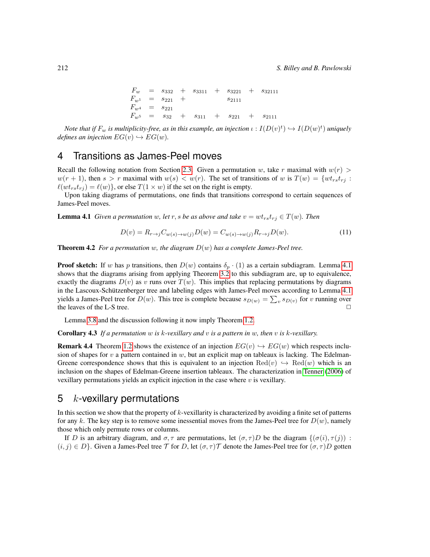$\begin{array}{rclcrcl} F_w & = & s_{332} & + & s_{3311} & + & s_{3221} & + & s_{32111} \end{array}$  $F_{w^1} \quad = \quad s_{221} \quad + \qquad \qquad s_{2111}$  $F_{w^4}$  =  $s_{221}$  $F_{w^5}$  =  $s_{32}$  +  $s_{311}$  +  $s_{221}$  +  $s_{2111}$ 

Note that if  $F_w$  is multiplicity-free, as in this example, an injection  $\iota: I(D(v)^t) \hookrightarrow I(D(w)^t)$  uniquely *defines an injection*  $EG(v) \hookrightarrow EG(w)$ *.* 

# <span id="page-7-0"></span>4 Transitions as James-Peel moves

Recall the following notation from Section [2.3.](#page-3-0) Given a permutation w, take r maximal with  $w(r)$  $w(r + 1)$ , then  $s > r$  maximal with  $w(s) < w(r)$ . The set of transitions of w is  $T(w) = \{wt_{rs}t_{rj} :$  $\ell(wt_{rs}t_{ri}) = \ell(w)$ , or else  $T(1 \times w)$  if the set on the right is empty.

Upon taking diagrams of permutations, one finds that transitions correspond to certain sequences of James-Peel moves.

<span id="page-7-2"></span>**Lemma 4.1** *Given a permutation* w, let r, s be as above and take  $v = wt_{rs}t_{rj} \in T(w)$ . Then

$$
D(v) = R_{r \to j} C_{w(s) \to w(j)} D(w) = C_{w(s) \to w(j)} R_{r \to j} D(w).
$$
\n<sup>(11)</sup>

<span id="page-7-3"></span>**Theorem 4.2** *For a permutation* w, the diagram  $D(w)$  has a complete James-Peel tree.

**Proof sketch:** If w has p transitions, then  $D(w)$  contains  $\delta_p \cdot (1)$  as a certain subdiagram. Lemma [4.1](#page-7-2) shows that the diagrams arising from applying Theorem [3.2](#page-4-1) to this subdiagram are, up to equivalence, exactly the diagrams  $D(v)$  as v runs over  $T(w)$ . This implies that replacing permutations by diagrams in the Lascoux-Schützenberger tree and labeling edges with James-Peel moves according to Lemma [4.1](#page-7-2) yields a James-Peel tree for  $D(w)$ . This tree is complete because  $s_{D(w)} = \sum_{v} s_{D(v)}$  for v running over the leaves of the L-S tree.  $\Box$ 

Lemma [3.8](#page-6-0) and the discussion following it now imply Theorem [1.2.](#page-1-0)

<span id="page-7-4"></span>Corollary 4.3 *If a permutation* w *is* k*-vexillary and* v *is a pattern in* w*, then* v *is* k*-vexillary.*

**Remark 4.4** Theorem [1.2](#page-1-0) shows the existence of an injection  $EG(v) \hookrightarrow EG(w)$  which respects inclusion of shapes for  $v$  a pattern contained in  $w$ , but an explicit map on tableaux is lacking. The Edelman-Greene correspondence shows that this is equivalent to an injection  $\text{Red}(v) \hookrightarrow \text{Red}(w)$  which is an inclusion on the shapes of Edelman-Greene insertion tableaux. The characterization in [Tenner](#page-11-15) [\(2006\)](#page-11-15) of vexillary permutations yields an explicit injection in the case where  $v$  is vexillary.

#### <span id="page-7-1"></span>5  $k$ -vexillary permutations

In this section we show that the property of  $k$ -vexillarity is characterized by avoiding a finite set of patterns for any k. The key step is to remove some inessential moves from the James-Peel tree for  $D(w)$ , namely those which only permute rows or columns.

If D is an arbitrary diagram, and  $\sigma, \tau$  are permutations, let  $(\sigma, \tau)D$  be the diagram  $\{(\sigma(i), \tau(j))\}$ :  $(i, j) \in D$ . Given a James-Peel tree T for D, let  $(\sigma, \tau)T$  denote the James-Peel tree for  $(\sigma, \tau)D$  gotten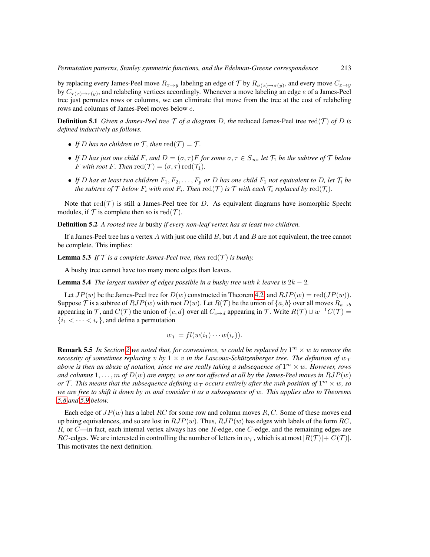by replacing every James-Peel move  $R_{x\to y}$  labeling an edge of T by  $R_{\sigma(x)\to\sigma(y)}$ , and every move  $C_{x\to y}$ by  $C_{\tau(x)\to\tau(y)}$ , and relabeling vertices accordingly. Whenever a move labeling an edge e of a James-Peel tree just permutes rows or columns, we can eliminate that move from the tree at the cost of relabeling rows and columns of James-Peel moves below e.

**Definition 5.1** *Given a James-Peel tree*  $\mathcal T$  *of a diagram D, the* reduced James-Peel tree red( $\mathcal T$ ) *of D is defined inductively as follows.*

- If *D* has no children in  $\mathcal{T}$ , then  $\text{red}(\mathcal{T}) = \mathcal{T}$ .
- *If* D has just one child F, and  $D = (\sigma, \tau)F$  for some  $\sigma, \tau \in S_{\infty}$ , let  $\mathcal{T}_1$  be the subtree of  $\mathcal T$  below *F* with root *F*. Then  $\text{red}(\mathcal{T}) = (\sigma, \tau) \text{red}(\mathcal{T}_1)$ .
- If D has at least two children  $F_1, F_2, \ldots, F_p$  or D has one child  $F_1$  not equivalent to D, let  $\mathcal{T}_i$  be *the subtree of*  $\mathcal T$  *below*  $F_i$  *with root*  $F_i.$  *Then*  $\text{red}(\mathcal T)$  *is*  $\mathcal T$  *with each*  $\mathcal T_i$  *replaced by*  $\text{red}(\mathcal T_i).$

Note that  $red(\mathcal{T})$  is still a James-Peel tree for D. As equivalent diagrams have isomorphic Specht modules, if  $T$  is complete then so is red $(T)$ .

Definition 5.2 *A rooted tree is* bushy *if every non-leaf vertex has at least two children.*

If a James-Peel tree has a vertex A with just one child B, but A and B are not equivalent, the tree cannot be complete. This implies:

**Lemma 5.3** *If*  $T$  *is a complete James-Peel tree, then* red $(T)$  *is bushy.* 

A bushy tree cannot have too many more edges than leaves.

**Lemma 5.4** *The largest number of edges possible in a bushy tree with k leaves is*  $2k - 2$ *.* 

Let  $JP(w)$  be the James-Peel tree for  $D(w)$  constructed in Theorem [4.2,](#page-7-3) and  $RJP(w) = \text{red}(JP(w))$ . Suppose T is a subtree of  $RJP(w)$  with root  $D(w)$ . Let  $R(\mathcal{T})$  be the union of  $\{a, b\}$  over all moves  $R_{a\rightarrow b}$ appearing in T, and  $C(\mathcal{T})$  the union of  $\{c, d\}$  over all  $C_{c \to d}$  appearing in T. Write  $R(\mathcal{T}) \cup w^{-1}C(\mathcal{T}) =$  $\{i_1 < \cdots < i_r\}$ , and define a permutation

$$
w_{\mathcal{T}} = fl(w(i_1)\cdots w(i_r)).
$$

**Remark 5.5** In Section [2](#page-2-0) we noted that, for convenience, w could be replaced by  $1<sup>m</sup> \times w$  to remove the *necessity of sometimes replacing* v *by*  $1 \times v$  *in the Lascoux-Schützenberger tree. The definition of*  $w_{\tau}$ above is then an abuse of notation, since we are really taking a subsequence of  $1^m \times w$ . However, rows and columns  $1, \ldots, m$  of  $D(w)$  are empty, so are not affected at all by the James-Peel moves in  $RJP(w)$ *or* T. This means that the subsequence defining  $w_{\mathcal{T}}$  occurs entirely after the mth position of  $1^m \times w$ , so *we are free to shift it down by* m *and consider it as a subsequence of* w*. This applies also to Theorems [5.8](#page-9-0) and [5.9](#page-9-1) below.*

Each edge of  $JP(w)$  has a label RC for some row and column moves R, C. Some of these moves end up being equivalences, and so are lost in  $RJP(w)$ . Thus,  $RJP(w)$  has edges with labels of the form RC,  $R$ , or  $C$ —in fact, each internal vertex always has one  $R$ -edge, one  $C$ -edge, and the remaining edges are RC-edges. We are interested in controlling the number of letters in  $w_{\tau}$ , which is at most  $|R(\tau)|+|C(\tau)|$ . This motivates the next definition.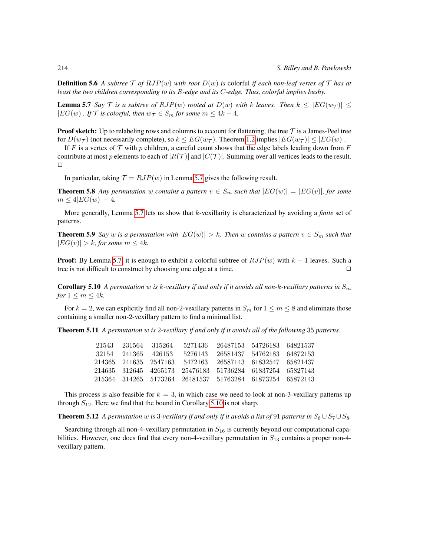**Definition 5.6** A subtree  $\mathcal{T}$  of  $RJP(w)$  with root  $D(w)$  is colorful *if each non-leaf vertex of*  $\mathcal{T}$  *has at least the two children corresponding to its* R*-edge and its* C*-edge. Thus, colorful implies bushy.*

<span id="page-9-2"></span>**Lemma 5.7** *Say* T *is a subtree of RJP(w) rooted at*  $D(w)$  *with* k *leaves. Then*  $k \leq |EG(w_T)| \leq$ | $EG(w)$ |*. If*  $\mathcal{T}$  *is colorful, then*  $w_{\mathcal{T}} \in S_m$  *for some*  $m \leq 4k - 4$ *.* 

**Proof sketch:** Up to relabeling rows and columns to account for flattening, the tree  $\mathcal T$  is a James-Peel tree for  $D(w_{\mathcal{T}})$  (not necessarily complete), so  $k \le EG(w_{\mathcal{T}})$ . Theorem [1.2](#page-1-0) implies  $|EG(w_{\mathcal{T}})| \le |EG(w)|$ .

If F is a vertex of T with p children, a careful count shows that the edge labels leading down from F contribute at most p elements to each of  $|R(\mathcal{T})|$  and  $|C(\mathcal{T})|$ . Summing over all vertices leads to the result.  $\Box$ 

In particular, taking  $\mathcal{T} = RJP(w)$  in Lemma [5.7](#page-9-2) gives the following result.

<span id="page-9-0"></span>**Theorem 5.8** Any permutation w contains a pattern  $v \in S_m$  such that  $|EG(w)| = |EG(v)|$ , for some  $m \leq 4|EG(w)| - 4.$ 

More generally, Lemma [5.7](#page-9-2) lets us show that k-vexillarity is characterized by avoiding a *finite* set of patterns.

<span id="page-9-1"></span>**Theorem 5.9** *Say* w *is a permutation with*  $|EG(w)| > k$ *. Then* w *contains a pattern*  $v \in S_m$  *such that*  $|EG(v)| > k$ *, for some*  $m \leq 4k$ *.* 

**Proof:** By Lemma [5.7,](#page-9-2) it is enough to exhibit a colorful subtree of  $RJP(w)$  with  $k + 1$  leaves. Such a tree is not difficult to construct by choosing one edge at a time.  $\Box$ 

<span id="page-9-3"></span>**Corollary 5.10** *A permutation* w is k-vexillary if and only if it avoids all non-k-vexillary patterns in  $S_m$ *for*  $1 \leq m \leq 4k$ *.* 

For  $k = 2$ , we can explicitly find all non-2-vexillary patterns in  $S_m$  for  $1 \le m \le 8$  and eliminate those containing a smaller non-2-vexillary pattern to find a minimal list.

<span id="page-9-4"></span>Theorem 5.11 *A permutation* w *is* 2*-vexillary if and only if it avoids all of the following* 35 *patterns.*

| 21543 231564 315264 | 5271436                                                   | 26487153 54726183 64821537 |  |
|---------------------|-----------------------------------------------------------|----------------------------|--|
| 32154 241365 426153 | 5276143                                                   | 26581437 54762183 64872153 |  |
|                     | 214365 241635 2547163 5472163 26587143 61832547 65821437  |                            |  |
|                     | 214635 312645 4265173 25476183 51736284 61837254 65827143 |                            |  |
|                     | 215364 314265 5173264 26481537 51763284 61873254 65872143 |                            |  |

This process is also feasible for  $k = 3$ , in which case we need to look at non-3-vexillary patterns up through  $S_{12}$ . Here we find that the bound in Corollary [5.10](#page-9-3) is not sharp.

<span id="page-9-5"></span>**Theorem 5.12** *A permutation* w *is* 3*-vexillary if and only if it avoids a list of* 91 *patterns in*  $S_6 \cup S_7 \cup S_8$ *.* 

Searching through all non-4-vexillary permutation in  $S_{16}$  is currently beyond our computational capabilities. However, one does find that every non-4-vexillary permutation in  $S_{13}$  contains a proper non-4vexillary pattern.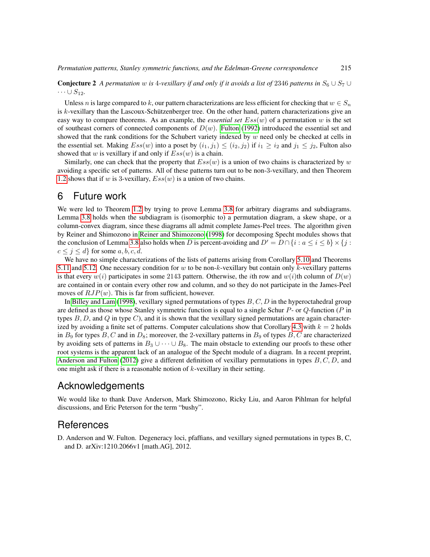**Conjecture 2** *A permutation* w *is* 4*-vexillary if and only if it avoids a list of* 2346 *patterns in*  $S_6 \cup S_7 \cup S_8$  $\cdots \cup S_{12}$ .

Unless n is large compared to k, our pattern characterizations are less efficient for checking that  $w \in S_n$ is  $k$ -vexillary than the Lascoux-Schützenberger tree. On the other hand, pattern characterizations give an easy way to compare theorems. As an example, the *essential set*  $Ess(w)$  of a permutation w is the set of southeast corners of connected components of  $D(w)$ . [Fulton](#page-11-16) [\(1992\)](#page-11-16) introduced the essential set and showed that the rank conditions for the Schubert variety indexed by  $w$  need only be checked at cells in the essential set. Making  $Ess(w)$  into a poset by  $(i_1,j_1)\leq (i_2,j_2)$  if  $i_1\geq i_2$  and  $j_1\leq j_2$ , Fulton also showed that  $w$  is vexillary if and only if  $Ess(w)$  is a chain.

Similarly, one can check that the property that  $Ess(w)$  is a union of two chains is characterized by w avoiding a specific set of patterns. All of these patterns turn out to be non-3-vexillary, and then Theorem [1.2](#page-1-0) shows that if w is 3-vexillary,  $Ess(w)$  is a union of two chains.

## <span id="page-10-0"></span>6 Future work

We were led to Theorem [1.2](#page-1-0) by trying to prove Lemma [3.8](#page-6-0) for arbitrary diagrams and subdiagrams. Lemma [3.8](#page-6-0) holds when the subdiagram is (isomorphic to) a permutation diagram, a skew shape, or a column-convex diagram, since these diagrams all admit complete James-Peel trees. The algorithm given by Reiner and Shimozono in [Reiner and Shimozono](#page-11-8) [\(1998\)](#page-11-8) for decomposing Specht modules shows that the conclusion of Lemma [3.8](#page-6-0) also holds when D is percent-avoiding and  $D' = D \cap \{i : a \le i \le b\} \times \{j : a \le j\}$  $c \leq j \leq d$  for some  $a, b, c, d$ .

We have no simple characterizations of the lists of patterns arising from Corollary [5.10](#page-9-3) and Theorems [5.11](#page-9-4) and [5.12.](#page-9-5) One necessary condition for w to be non-k-vexillary but contain only k-vexillary patterns is that every  $w(i)$  participates in some 2143 pattern. Otherwise, the *i*th row and  $w(i)$ th column of  $D(w)$ are contained in or contain every other row and column, and so they do not participate in the James-Peel moves of  $RJP(w)$ . This is far from sufficient, however.

In [Billey and Lam](#page-11-17) [\(1998\)](#page-11-17), vexillary signed permutations of types  $B, C, D$  in the hyperoctahedral group are defined as those whose Stanley symmetric function is equal to a single Schur  $P$ - or  $Q$ -function (P in types  $B, D$ , and Q in type C), and it is shown that the vexillary signed permutations are again character-ized by avoiding a finite set of patterns. Computer calculations show that Corollary [4.3](#page-7-4) with  $k = 2$  holds in  $B_9$  for types B, C and in  $D_8$ ; moreover, the 2-vexillary patterns in  $B_9$  of types B, C are characterized by avoiding sets of patterns in  $B_3 \cup \cdots \cup B_8$ . The main obstacle to extending our proofs to these other root systems is the apparent lack of an analogue of the Specht module of a diagram. In a recent preprint, [Anderson and Fulton](#page-10-1) [\(2012\)](#page-10-1) give a different definition of vexillary permutations in types  $B, C, D$ , and one might ask if there is a reasonable notion of  $k$ -vexillary in their setting.

#### Acknowledgements

We would like to thank Dave Anderson, Mark Shimozono, Ricky Liu, and Aaron Pihlman for helpful discussions, and Eric Peterson for the term "bushy".

#### References

<span id="page-10-1"></span>D. Anderson and W. Fulton. Degeneracy loci, pfaffians, and vexillary signed permutations in types B, C, and D. arXiv:1210.2066v1 [math.AG], 2012.